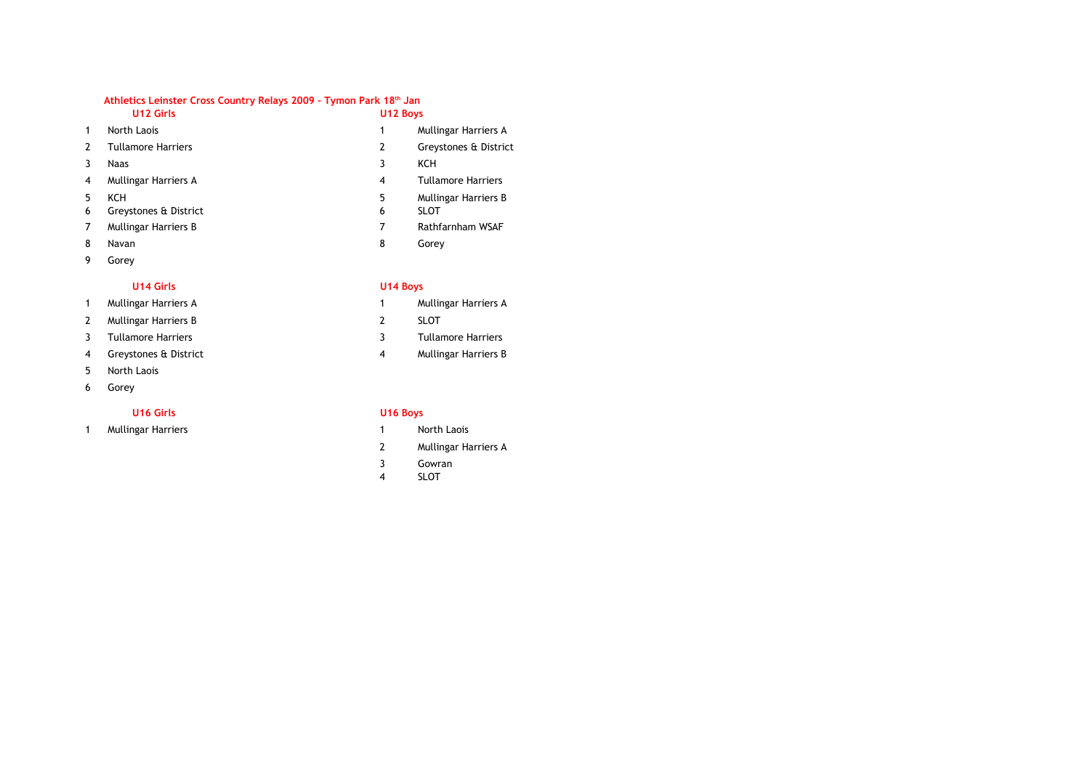|                | U12 Girls                           | U12 Boys |                                     |
|----------------|-------------------------------------|----------|-------------------------------------|
| $\mathbf{1}$   | North Laois                         |          | Mullingar Harriers A                |
| $\overline{2}$ | <b>Tullamore Harriers</b>           | 2        | Greystones & District               |
| 3              | Naas                                | 3        | <b>KCH</b>                          |
| 4              | Mullingar Harriers A                | 4        | <b>Tullamore Harriers</b>           |
| 5<br>6         | <b>KCH</b><br>Greystones & District | 5<br>6   | Mullingar Harriers B<br><b>SLOT</b> |
| 7              | <b>Mullingar Harriers B</b>         | 7        | Rathfarnham WSAF                    |
| 8              | Navan                               | 8        | Gorey                               |
| 9              | Gorey                               |          |                                     |

## **U14 Girls U14 Boys**

- 1 Mullingar Harriers A and the state of the 1
- 2 2 SLOT Mullingar Harriers B
- 
- 4 Greystones & District 4
- 5 North Laois
- 6 Gorey

1 1 Mullingar Harriers North Laois

- Mullingar Harriers A
- 
- 3 3 Tullamore Harriers Tullamore Harriers
	- Mullingar Harriers B

## **U16 Girls U16 Boys**

- 
- 2 Mullingar Harriers A
- 3 Gowran
- 4 SLOT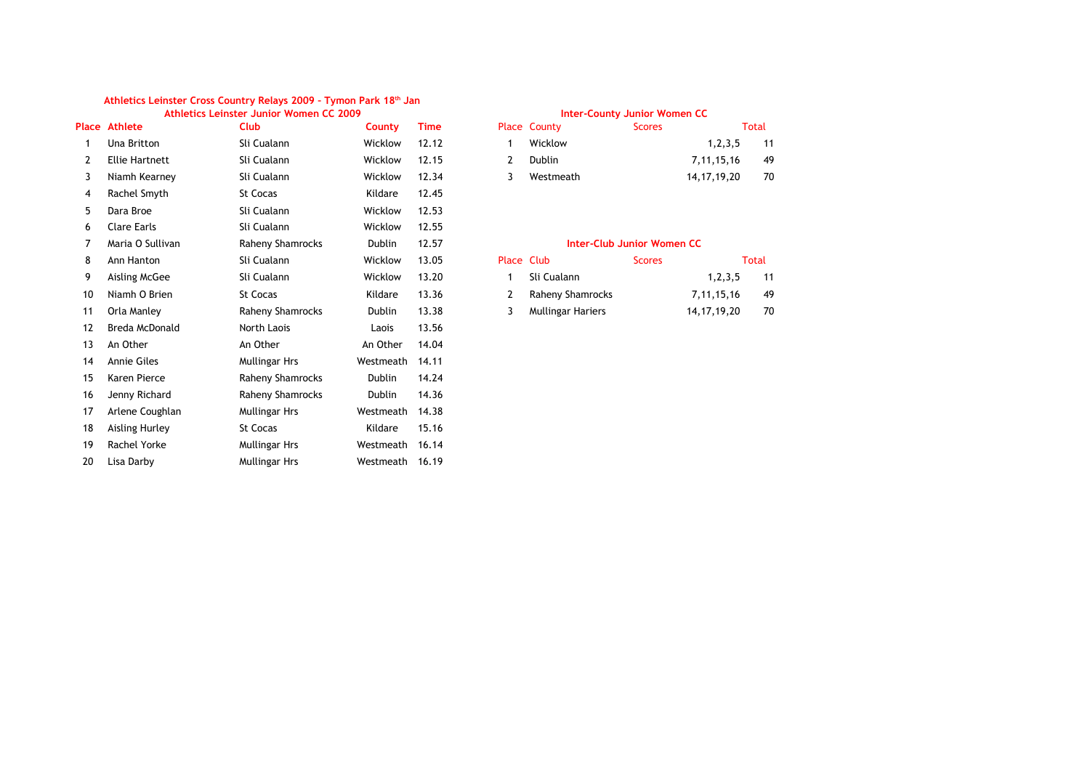#### **Athletics Leinster Junior Women CC 2009 Inter-County Junior Women CC Athletics Leinster Cross Country Relays 2009 – Tymon Park 18th Jan**

|    | <b>Place Athlete</b>  | Club                 | County        | <b>Time</b> |            | Place County                      | <b>Scores</b> |                | <b>Total</b> |
|----|-----------------------|----------------------|---------------|-------------|------------|-----------------------------------|---------------|----------------|--------------|
| 1  | Una Britton           | Sli Cualann          | Wicklow       | 12.12       | 1          | Wicklow                           |               | 1, 2, 3, 5     | 11           |
| 2  | <b>Ellie Hartnett</b> | Sli Cualann          | Wicklow       | 12.15       | 2          | Dublin                            |               | 7, 11, 15, 16  | 49           |
| 3  | Niamh Kearney         | Sli Cualann          | Wicklow       | 12.34       | 3          | Westmeath                         |               | 14, 17, 19, 20 | 70           |
| 4  | Rachel Smyth          | St Cocas             | Kildare       | 12.45       |            |                                   |               |                |              |
| 5  | Dara Broe             | Sli Cualann          | Wicklow       | 12.53       |            |                                   |               |                |              |
| 6  | Clare Earls           | Sli Cualann          | Wicklow       | 12.55       |            |                                   |               |                |              |
| 7  | Maria O Sullivan      | Raheny Shamrocks     | <b>Dublin</b> | 12.57       |            | <b>Inter-Club Junior Women CC</b> |               |                |              |
| 8  | Ann Hanton            | Sli Cualann          | Wicklow       | 13.05       | Place Club |                                   | <b>Scores</b> |                | <b>Total</b> |
| 9  | Aisling McGee         | Sli Cualann          | Wicklow       | 13.20       | 1          | Sli Cualann                       |               | 1, 2, 3, 5     | 11           |
| 10 | Niamh O Brien         | <b>St Cocas</b>      | Kildare       | 13.36       | 2          | Raheny Shamrocks                  |               | 7, 11, 15, 16  | 49           |
| 11 | Orla Manley           | Raheny Shamrocks     | Dublin        | 13.38       | 3          | <b>Mullingar Hariers</b>          |               | 14, 17, 19, 20 | 70           |
| 12 | Breda McDonald        | North Laois          | Laois         | 13.56       |            |                                   |               |                |              |
| 13 | An Other              | An Other             | An Other      | 14.04       |            |                                   |               |                |              |
| 14 | <b>Annie Giles</b>    | <b>Mullingar Hrs</b> | Westmeath     | 14.11       |            |                                   |               |                |              |
| 15 | Karen Pierce          | Raheny Shamrocks     | <b>Dublin</b> | 14.24       |            |                                   |               |                |              |
| 16 | Jenny Richard         | Raheny Shamrocks     | Dublin        | 14.36       |            |                                   |               |                |              |
| 17 | Arlene Coughlan       | <b>Mullingar Hrs</b> | Westmeath     | 14.38       |            |                                   |               |                |              |
| 18 | <b>Aisling Hurley</b> | St Cocas             | Kildare       | 15.16       |            |                                   |               |                |              |
| 19 | Rachel Yorke          | <b>Mullingar Hrs</b> | Westmeath     | 16.14       |            |                                   |               |                |              |
| 20 | Lisa Darby            | <b>Mullingar Hrs</b> | Westmeath     | 16.19       |            |                                   |               |                |              |
|    |                       |                      |               |             |            |                                   |               |                |              |

|    | <b>Place County</b> | <b>Scores</b> |                | <b>Total</b> |
|----|---------------------|---------------|----------------|--------------|
|    | Wicklow             |               | 1, 2, 3, 5     | -11          |
| -2 | Dublin              |               | 7, 11, 15, 16  | 49           |
|    | Westmeath           |               | 14, 17, 19, 20 | 70           |

## **Inter-Club Junior Women CC**

| Place Club |                    | <b>Scores</b> |                | Total |
|------------|--------------------|---------------|----------------|-------|
|            | 1 Sli Cualann      |               | 1, 2, 3, 5     | 11    |
|            | 2 Raheny Shamrocks |               | 7.11.15.16     | 49    |
|            | Mullingar Hariers  |               | 14, 17, 19, 20 | 70    |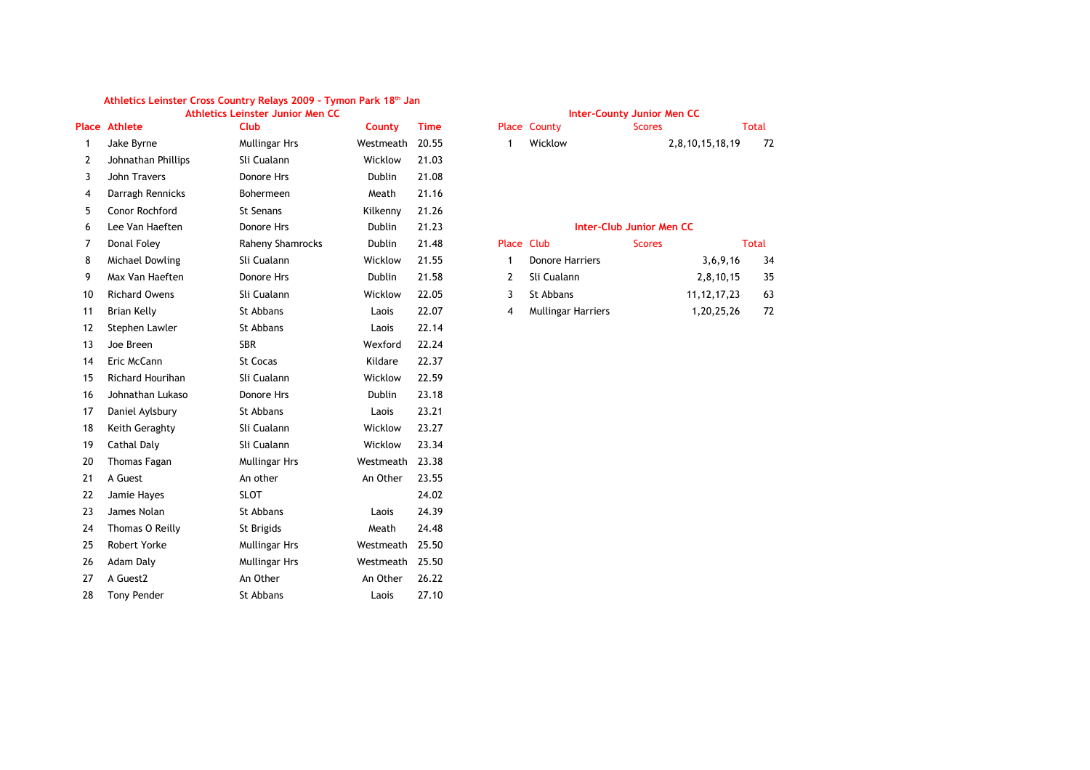|    |                         | Athletics Leinster Junior Men CC |               |             |                |                           | <b>Inter-County Junior Men CC</b> |                 |              |
|----|-------------------------|----------------------------------|---------------|-------------|----------------|---------------------------|-----------------------------------|-----------------|--------------|
|    | <b>Place Athlete</b>    | Club                             | County        | <b>Time</b> |                | Place County              | <b>Scores</b>                     |                 | Total        |
| 1  | Jake Byrne              | <b>Mullingar Hrs</b>             | Westmeath     | 20.55       | 1              | Wicklow                   |                                   | 2,8,10,15,18,19 | 72           |
| 2  | Johnathan Phillips      | Sli Cualann                      | Wicklow       | 21.03       |                |                           |                                   |                 |              |
| 3  | John Travers            | Donore Hrs                       | Dublin        | 21.08       |                |                           |                                   |                 |              |
| 4  | Darragh Rennicks        | Bohermeen                        | Meath         | 21.16       |                |                           |                                   |                 |              |
| 5  | Conor Rochford          | <b>St Senans</b>                 | Kilkenny      | 21.26       |                |                           |                                   |                 |              |
| 6  | Lee Van Haeften         | Donore Hrs                       | Dublin        | 21.23       |                |                           | <b>Inter-Club Junior Men CC</b>   |                 |              |
| 7  | Donal Foley             | Raheny Shamrocks                 | Dublin        | 21.48       | Place Club     |                           | <b>Scores</b>                     |                 | <b>Total</b> |
| 8  | Michael Dowling         | Sli Cualann                      | Wicklow       | 21.55       | $\mathbf{1}$   | <b>Donore Harriers</b>    |                                   | 3,6,9,16        | 34           |
| 9  | Max Van Haeften         | Donore Hrs                       | <b>Dublin</b> | 21.58       | $\overline{2}$ | Sli Cualann               |                                   | 2,8,10,15       | 35           |
| 10 | <b>Richard Owens</b>    | Sli Cualann                      | Wicklow       | 22.05       | 3              | St Abbans                 |                                   | 11, 12, 17, 23  | 63           |
| 11 | <b>Brian Kelly</b>      | St Abbans                        | Laois         | 22.07       | $\overline{4}$ | <b>Mullingar Harriers</b> |                                   | 1,20,25,26      | 72           |
| 12 | Stephen Lawler          | St Abbans                        | Laois         | 22.14       |                |                           |                                   |                 |              |
| 13 | Joe Breen               | <b>SBR</b>                       | Wexford       | 22.24       |                |                           |                                   |                 |              |
| 14 | Eric McCann             | <b>St Cocas</b>                  | Kildare       | 22.37       |                |                           |                                   |                 |              |
| 15 | <b>Richard Hourihan</b> | Sli Cualann                      | Wicklow       | 22.59       |                |                           |                                   |                 |              |
| 16 | Johnathan Lukaso        | Donore Hrs                       | Dublin        | 23.18       |                |                           |                                   |                 |              |
| 17 | Daniel Aylsbury         | St Abbans                        | Laois         | 23.21       |                |                           |                                   |                 |              |
| 18 | Keith Geraghty          | Sli Cualann                      | Wicklow       | 23.27       |                |                           |                                   |                 |              |
| 19 | Cathal Daly             | Sli Cualann                      | Wicklow       | 23.34       |                |                           |                                   |                 |              |
| 20 | <b>Thomas Fagan</b>     | <b>Mullingar Hrs</b>             | Westmeath     | 23.38       |                |                           |                                   |                 |              |
| 21 | A Guest                 | An other                         | An Other      | 23.55       |                |                           |                                   |                 |              |
| 22 | Jamie Hayes             | <b>SLOT</b>                      |               | 24.02       |                |                           |                                   |                 |              |
| 23 | James Nolan             | St Abbans                        | Laois         | 24.39       |                |                           |                                   |                 |              |
| 24 | Thomas O Reilly         | St Brigids                       | Meath         | 24.48       |                |                           |                                   |                 |              |
| 25 | <b>Robert Yorke</b>     | Mullingar Hrs                    | Westmeath     | 25.50       |                |                           |                                   |                 |              |
| 26 | Adam Daly               | <b>Mullingar Hrs</b>             | Westmeath     | 25.50       |                |                           |                                   |                 |              |
| 27 | A Guest <sub>2</sub>    | An Other                         | An Other      | 26.22       |                |                           |                                   |                 |              |
| 28 | <b>Tony Pender</b>      | St Abbans                        | Laois         | 27.10       |                |                           |                                   |                 |              |

# **Place County County County** Scores Total 1 Wicklow 2,8,10,15,18,19 72 **Inter-Club Junior Men CC**

|   | Donore Harriers    | 3,6,9,16    | 34 |
|---|--------------------|-------------|----|
|   | 2 Sli Cualann      | 2,8,10,15   | 35 |
|   | 3 St Abbans        | 11.12.17.23 | 63 |
| 4 | Mullingar Harriers | 1,20,25,26  | 72 |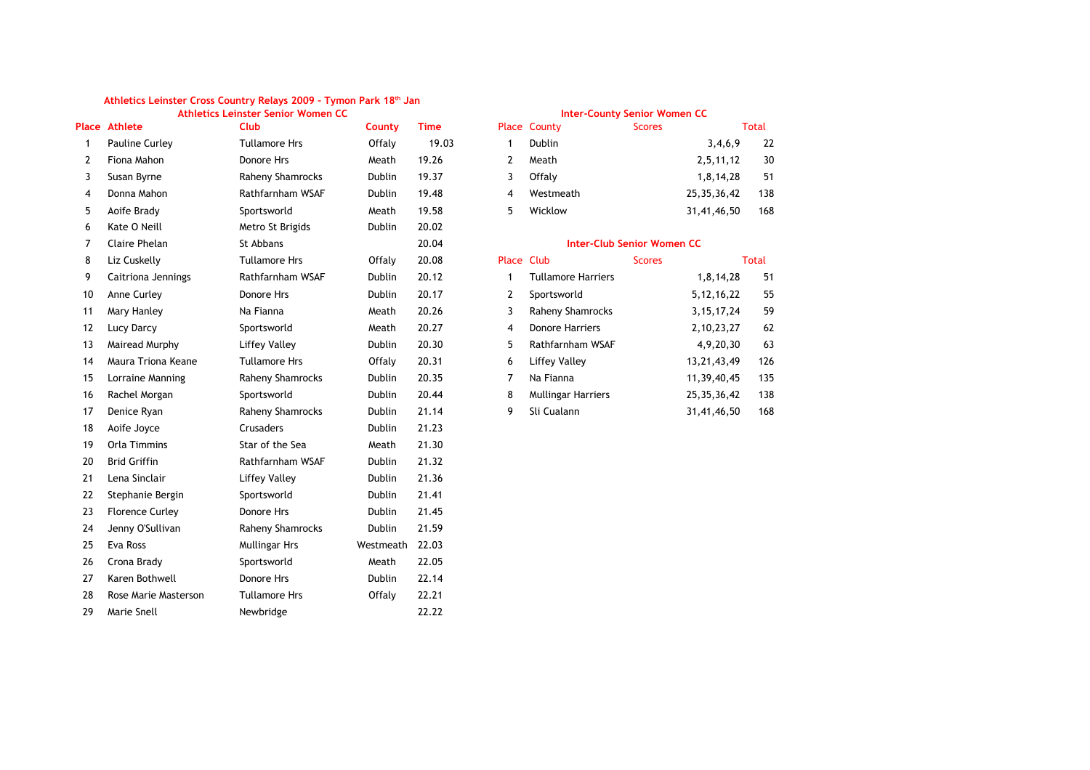|                |                        | Auneucs Lemster Senior Women CC |               |             |                | <b>INCLUSTRATION ACTION MONEY CO</b> |               |                |       |
|----------------|------------------------|---------------------------------|---------------|-------------|----------------|--------------------------------------|---------------|----------------|-------|
|                | <b>Place Athlete</b>   | <b>Club</b>                     | County        | <b>Time</b> |                | Place County                         | <b>Scores</b> |                | Total |
| $\mathbf{1}$   | Pauline Curley         | <b>Tullamore Hrs</b>            | Offaly        | 19.03       | $\mathbf{1}$   | Dublin                               |               | 3,4,6,9        | 22    |
| $\overline{2}$ | Fiona Mahon            | Donore Hrs                      | Meath         | 19.26       | $\overline{2}$ | Meath                                |               | 2,5,11,12      | 30    |
| 3              | Susan Byrne            | Raheny Shamrocks                | <b>Dublin</b> | 19.37       | 3              | Offalv                               |               | 1,8,14,28      | 51    |
| 4              | Donna Mahon            | Rathfarnham WSAF                | Dublin        | 19.48       | $\overline{4}$ | Westmeath                            |               | 25, 35, 36, 42 | 138   |
| 5              | Aoife Brady            | Sportsworld                     | Meath         | 19.58       | 5              | Wicklow                              |               | 31,41,46,50    | 168   |
| 6              | Kate O Neill           | Metro St Brigids                | Dublin        | 20.02       |                |                                      |               |                |       |
| 7              | <b>Claire Phelan</b>   | St Abbans                       |               | 20.04       |                | <b>Inter-Club Senior Women CC</b>    |               |                |       |
| 8              | Liz Cuskelly           | <b>Tullamore Hrs</b>            | Offaly        | 20.08       | Place Club     |                                      | <b>Scores</b> |                | Total |
| 9              | Caitriona Jennings     | Rathfarnham WSAF                | Dublin        | 20.12       | $\mathbf{1}$   | <b>Tullamore Harriers</b>            |               | 1,8,14,28      | 51    |
| 10             | Anne Curley            | Donore Hrs                      | Dublin        | 20.17       | $\overline{2}$ | Sportsworld                          |               | 5, 12, 16, 22  | 55    |
| 11             | Mary Hanley            | Na Fianna                       | Meath         | 20.26       | 3              | Raheny Shamrocks                     |               | 3, 15, 17, 24  | 59    |
| 12             | <b>Lucy Darcy</b>      | Sportsworld                     | Meath         | 20.27       | $\overline{4}$ | <b>Donore Harriers</b>               |               | 2, 10, 23, 27  | 62    |
| 13             | Mairead Murphy         | <b>Liffey Valley</b>            | Dublin        | 20.30       | 5              | Rathfarnham WSAF                     |               | 4,9,20,30      | 63    |
| 14             | Maura Triona Keane     | <b>Tullamore Hrs</b>            | Offaly        | 20.31       | 6              | <b>Liffey Valley</b>                 |               | 13, 21, 43, 49 | 126   |
| 15             | Lorraine Manning       | Raheny Shamrocks                | Dublin        | 20.35       | $\overline{7}$ | Na Fianna                            |               | 11,39,40,45    | 135   |
| 16             | Rachel Morgan          | Sportsworld                     | Dublin        | 20.44       | 8              | Mullingar Harriers                   |               | 25, 35, 36, 42 | 138   |
| 17             | Denice Ryan            | Raheny Shamrocks                | Dublin        | 21.14       | 9              | Sli Cualann                          |               | 31,41,46,50    | 168   |
| 18             | Aoife Joyce            | Crusaders                       | Dublin        | 21.23       |                |                                      |               |                |       |
| 19             | Orla Timmins           | Star of the Sea                 | Meath         | 21.30       |                |                                      |               |                |       |
| 20             | <b>Brid Griffin</b>    | Rathfarnham WSAF                | Dublin        | 21.32       |                |                                      |               |                |       |
| 21             | Lena Sinclair          | <b>Liffey Valley</b>            | Dublin        | 21.36       |                |                                      |               |                |       |
| 22             | Stephanie Bergin       | Sportsworld                     | Dublin        | 21.41       |                |                                      |               |                |       |
| 23             | <b>Florence Curley</b> | Donore Hrs                      | Dublin        | 21.45       |                |                                      |               |                |       |
| 24             | Jenny O'Sullivan       | Raheny Shamrocks                | Dublin        | 21.59       |                |                                      |               |                |       |
| 25             | Eva Ross               | <b>Mullingar Hrs</b>            | Westmeath     | 22.03       |                |                                      |               |                |       |
| 26             | Crona Brady            | Sportsworld                     | Meath         | 22.05       |                |                                      |               |                |       |
| 27             | Karen Bothwell         | Donore Hrs                      | Dublin        | 22.14       |                |                                      |               |                |       |
| 28             | Rose Marie Masterson   | <b>Tullamore Hrs</b>            | Offaly        | 22.21       |                |                                      |               |                |       |
| 29             | Marie Snell            | Newbridge                       |               | 22.22       |                |                                      |               |                |       |
|                |                        |                                 |               |             |                |                                      |               |                |       |

| Athletics Leinster Senior Women CC |               |       | <b>Inter-County Senior Women CC</b> |                     |               |                |       |  |
|------------------------------------|---------------|-------|-------------------------------------|---------------------|---------------|----------------|-------|--|
| <b>Club</b>                        | <b>County</b> | Time  |                                     | <b>Place County</b> | <b>Scores</b> |                | Total |  |
| <b>Tullamore Hrs</b>               | Offalv        | 19.03 |                                     | <b>Dublin</b>       |               | 3,4,6,9        | 22    |  |
| Donore Hrs                         | Meath         | 19.26 |                                     | Meath               |               | 2,5,11,12      | 30    |  |
| Raheny Shamrocks                   | <b>Dublin</b> | 19.37 |                                     | Offalv              |               | 1,8,14,28      | 51    |  |
| Rathfarnham WSAF                   | <b>Dublin</b> | 19.48 | 4                                   | Westmeath           |               | 25, 35, 36, 42 | 138   |  |
| Sportsworld                        | Meath         | 19.58 | Б.                                  | Wicklow             |               | 31,41,46,50    | 168   |  |

## **Inter-Club Senior Women CC**

| Place Club |                           | <b>Scores</b> |                | Total |
|------------|---------------------------|---------------|----------------|-------|
| 1          | <b>Tullamore Harriers</b> |               | 1,8,14,28      | 51    |
| 2          | Sportsworld               |               | 5, 12, 16, 22  | 55    |
| 3          | Raheny Shamrocks          |               | 3, 15, 17, 24  | 59    |
| 4          | <b>Donore Harriers</b>    |               | 2, 10, 23, 27  | 62    |
| 5          | Rathfarnham WSAF          |               | 4,9,20,30      | 63    |
| 6          | Liffey Valley             |               | 13, 21, 43, 49 | 126   |
| 7          | Na Fianna                 |               | 11,39,40,45    | 135   |
| 8          | <b>Mullingar Harriers</b> |               | 25, 35, 36, 42 | 138   |
| 9          | Sli Cualann               |               | 31,41,46,50    | 168   |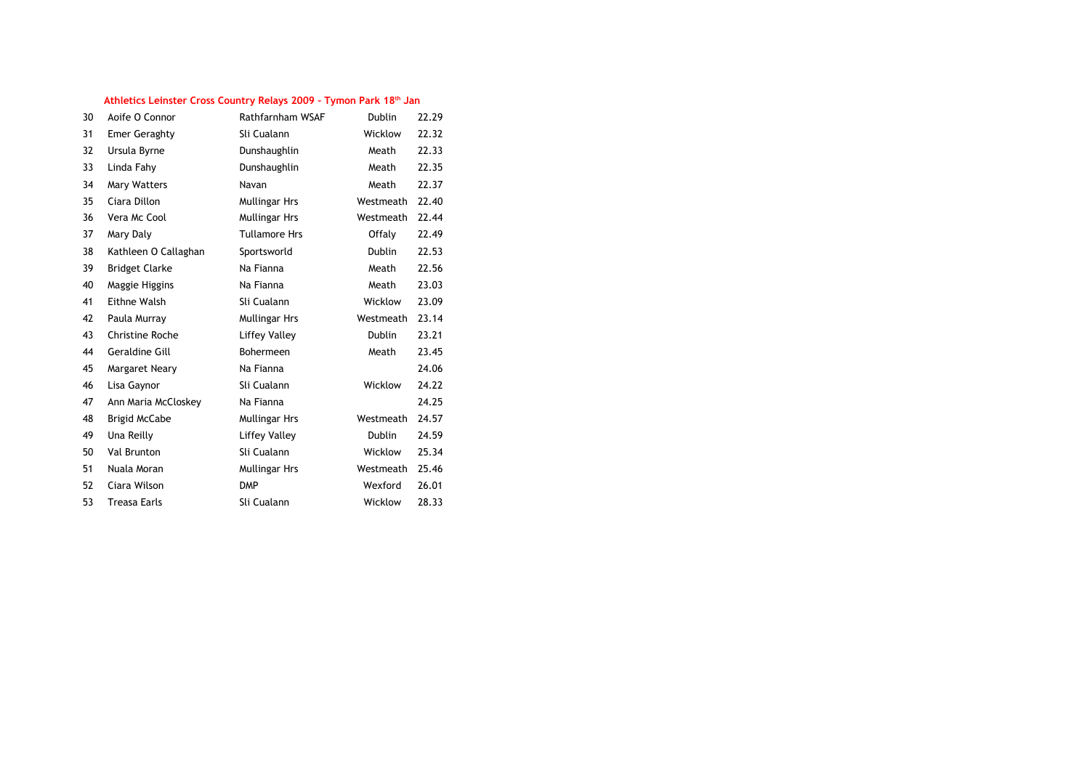| 30 | Aoife O Connor        | Rathfarnham WSAF     | Dublin        | 22.29 |
|----|-----------------------|----------------------|---------------|-------|
| 31 | <b>Emer Geraghty</b>  | Sli Cualann          | Wicklow       | 22.32 |
| 32 | Ursula Byrne          | Dunshaughlin         | Meath         | 22.33 |
| 33 | Linda Fahy            | Dunshaughlin         | Meath         | 22.35 |
| 34 | <b>Mary Watters</b>   | Navan                | Meath         | 22.37 |
| 35 | Ciara Dillon          | Mullingar Hrs        | Westmeath     | 22.40 |
| 36 | Vera Mc Cool          | <b>Mullingar Hrs</b> | Westmeath     | 22.44 |
| 37 | Mary Daly             | <b>Tullamore Hrs</b> | Offaly        | 22.49 |
| 38 | Kathleen O Callaghan  | Sportsworld          | <b>Dublin</b> | 22.53 |
| 39 | <b>Bridget Clarke</b> | Na Fianna            | Meath         | 22.56 |
| 40 | Maggie Higgins        | Na Fianna            | Meath         | 23.03 |
| 41 | Eithne Walsh          | Sli Cualann          | Wicklow       | 23.09 |
| 42 | Paula Murray          | <b>Mullingar Hrs</b> | Westmeath     | 23.14 |
| 43 | Christine Roche       | Liffey Valley        | Dublin        | 23.21 |
| 44 | Geraldine Gill        | Bohermeen            | Meath         | 23.45 |
| 45 | Margaret Neary        | Na Fianna            |               | 24.06 |
| 46 | Lisa Gaynor           | Sli Cualann          | Wicklow       | 24.22 |
| 47 | Ann Maria McCloskey   | Na Fianna            |               | 24.25 |
| 48 | <b>Brigid McCabe</b>  | Mullingar Hrs        | Westmeath     | 24.57 |
| 49 | Una Reilly            | <b>Liffey Valley</b> | <b>Dublin</b> | 24.59 |
| 50 | Val Brunton           | Sli Cualann          | Wicklow       | 25.34 |
| 51 | Nuala Moran           | Mullingar Hrs        | Westmeath     | 25.46 |
| 52 | Ciara Wilson          | <b>DMP</b>           | Wexford       | 26.01 |
| 53 | <b>Treasa Earls</b>   | Sli Cualann          | Wicklow       | 28.33 |
|    |                       |                      |               |       |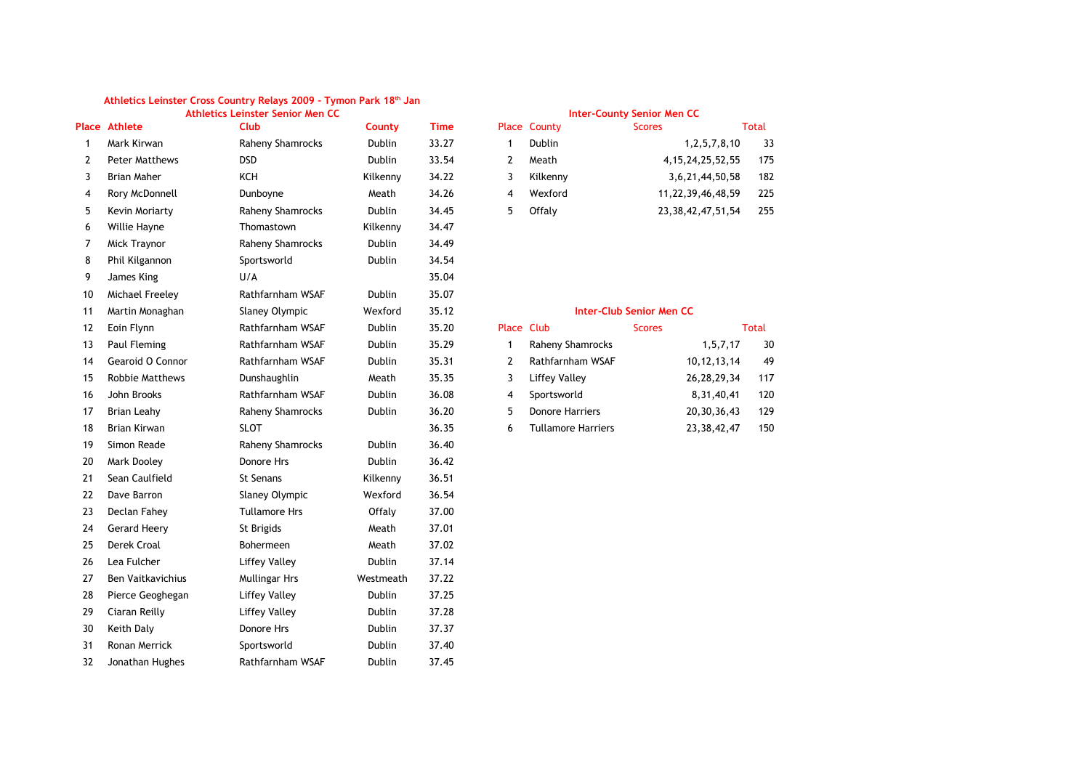|                |                        | Athletics Leinster Senior Men CC |               |             |                |                           | <b>Inter-County Senior Men CC</b> |                        |              |
|----------------|------------------------|----------------------------------|---------------|-------------|----------------|---------------------------|-----------------------------------|------------------------|--------------|
|                | <b>Place Athlete</b>   | <b>Club</b>                      | County        | <b>Time</b> |                | Place County              | <b>Scores</b>                     |                        | <b>Total</b> |
| $\mathbf{1}$   | Mark Kirwan            | Raheny Shamrocks                 | Dublin        | 33.27       | $\mathbf{1}$   | Dublin                    |                                   | 1, 2, 5, 7, 8, 10      | 33           |
| $\overline{2}$ | <b>Peter Matthews</b>  | <b>DSD</b>                       | <b>Dublin</b> | 33.54       | $\overline{2}$ | Meath                     |                                   | 4, 15, 24, 25, 52, 55  | 175          |
| 3              | <b>Brian Maher</b>     | <b>KCH</b>                       | Kilkenny      | 34.22       | 3              | Kilkenny                  |                                   | 3,6,21,44,50,58        | 182          |
| 4              | Rory McDonnell         | Dunboyne                         | Meath         | 34.26       | 4              | Wexford                   |                                   | 11,22,39,46,48,59      | 225          |
| 5              | Kevin Moriarty         | Raheny Shamrocks                 | <b>Dublin</b> | 34.45       | 5              | Offaly                    |                                   | 23, 38, 42, 47, 51, 54 | 255          |
| 6              | Willie Hayne           | Thomastown                       | Kilkenny      | 34.47       |                |                           |                                   |                        |              |
| 7              | Mick Traynor           | Raheny Shamrocks                 | Dublin        | 34.49       |                |                           |                                   |                        |              |
| 8              | Phil Kilgannon         | Sportsworld                      | Dublin        | 34.54       |                |                           |                                   |                        |              |
| 9              | James King             | U/A                              |               | 35.04       |                |                           |                                   |                        |              |
| 10             | Michael Freeley        | Rathfarnham WSAF                 | Dublin        | 35.07       |                |                           |                                   |                        |              |
| 11             | Martin Monaghan        | Slaney Olympic                   | Wexford       | 35.12       |                |                           | <b>Inter-Club Senior Men CC</b>   |                        |              |
| 12             | Eoin Flynn             | Rathfarnham WSAF                 | Dublin        | 35.20       | Place Club     |                           | <b>Scores</b>                     |                        | <b>Total</b> |
| 13             | Paul Fleming           | Rathfarnham WSAF                 | Dublin        | 35.29       | $\mathbf{1}$   | Raheny Shamrocks          |                                   | 1, 5, 7, 17            | 30           |
| 14             | Gearoid O Connor       | Rathfarnham WSAF                 | Dublin        | 35.31       | $\overline{2}$ | Rathfarnham WSAF          |                                   | 10, 12, 13, 14         | 49           |
| 15             | <b>Robbie Matthews</b> | Dunshaughlin                     | Meath         | 35.35       | 3              | <b>Liffey Valley</b>      |                                   | 26, 28, 29, 34         | 117          |
| 16             | John Brooks            | Rathfarnham WSAF                 | Dublin        | 36.08       | 4              | Sportsworld               |                                   | 8,31,40,41             | 120          |
| 17             | <b>Brian Leahy</b>     | Raheny Shamrocks                 | Dublin        | 36.20       | 5              | <b>Donore Harriers</b>    |                                   | 20, 30, 36, 43         | 129          |
| 18             | Brian Kirwan           | <b>SLOT</b>                      |               | 36.35       | 6              | <b>Tullamore Harriers</b> |                                   | 23, 38, 42, 47         | 150          |
| 19             | Simon Reade            | Raheny Shamrocks                 | Dublin        | 36.40       |                |                           |                                   |                        |              |
| 20             | Mark Dooley            | Donore Hrs                       | Dublin        | 36.42       |                |                           |                                   |                        |              |
| 21             | Sean Caulfield         | St Senans                        | Kilkenny      | 36.51       |                |                           |                                   |                        |              |
| 22             | Dave Barron            | Slaney Olympic                   | Wexford       | 36.54       |                |                           |                                   |                        |              |
| 23             | Declan Fahey           | <b>Tullamore Hrs</b>             | Offaly        | 37.00       |                |                           |                                   |                        |              |
| 24             | <b>Gerard Heery</b>    | St Brigids                       | Meath         | 37.01       |                |                           |                                   |                        |              |
| 25             | Derek Croal            | <b>Bohermeen</b>                 | Meath         | 37.02       |                |                           |                                   |                        |              |
| 26             | Lea Fulcher            | <b>Liffey Valley</b>             | Dublin        | 37.14       |                |                           |                                   |                        |              |
| 27             | Ben Vaitkavichius      | <b>Mullingar Hrs</b>             | Westmeath     | 37.22       |                |                           |                                   |                        |              |
| 28             | Pierce Geoghegan       | <b>Liffey Valley</b>             | Dublin        | 37.25       |                |                           |                                   |                        |              |
| 29             | Ciaran Reilly          | <b>Liffey Valley</b>             | Dublin        | 37.28       |                |                           |                                   |                        |              |
| 30             | Keith Daly             | Donore Hrs                       | Dublin        | 37.37       |                |                           |                                   |                        |              |
| 31             | Ronan Merrick          | Sportsworld                      | Dublin        | 37.40       |                |                           |                                   |                        |              |
| 32             | Jonathan Hughes        | Rathfarnham WSAF                 | Dublin        | 37.45       |                |                           |                                   |                        |              |

| $\epsilon$ |   | DUDLIN   | 1, 2, 3, 7, 0, 10      | ు  |
|------------|---|----------|------------------------|----|
| 4          |   | Meath    | 4, 15, 24, 25, 52, 55  | 17 |
| 2          | 3 | Kilkenny | 3,6,21,44,50,58        | 18 |
| 6          |   | Wexford  | 11,22,39,46,48,59      | 22 |
| 5.         | 5 | Offaly   | 23, 38, 42, 47, 51, 54 | 25 |

## **Inter-Club Senior Men CC**

| Place Club |                           | <b>Scores</b> | <b>Total</b>   |     |
|------------|---------------------------|---------------|----------------|-----|
|            | Raheny Shamrocks          |               | 1,5,7,17       | 30  |
| 2          | Rathfarnham WSAF          |               | 10, 12, 13, 14 | 49  |
| 3          | Liffey Valley             |               | 26, 28, 29, 34 | 117 |
| 4          | Sportsworld               |               | 8, 31, 40, 41  | 120 |
| 5          | <b>Donore Harriers</b>    |               | 20, 30, 36, 43 | 129 |
| 6          | <b>Tullamore Harriers</b> |               | 23, 38, 42, 47 | 150 |